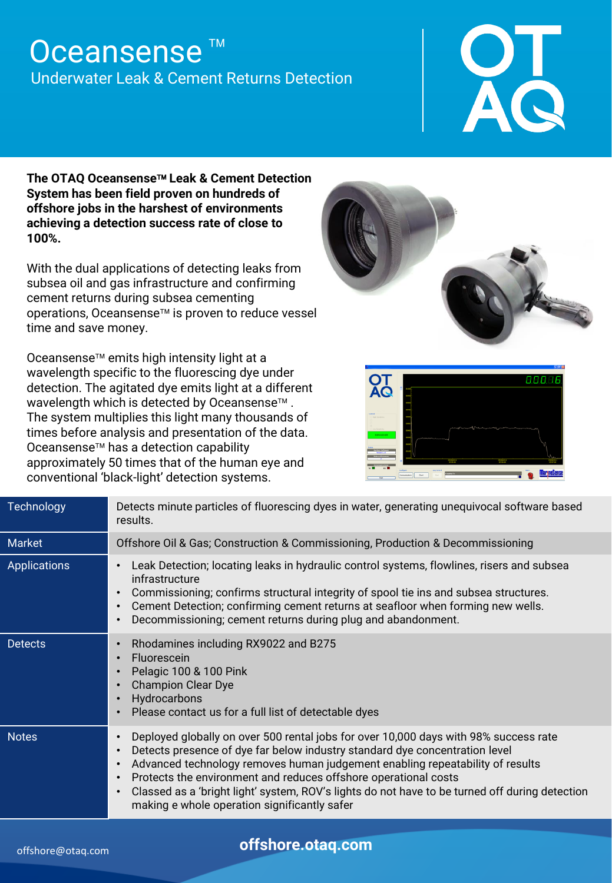## Oceansense<sup>™</sup> Underwater Leak & Cement Returns Detection

**The OTAQ Oceansense Leak & Cement Detection System has been field proven on hundreds of offshore jobs in the harshest of environments achieving a detection success rate of close to 100%.** 

With the dual applications of detecting leaks from subsea oil and gas infrastructure and confirming cement returns during subsea cementing operations, Oceansense<sup>™</sup> is proven to reduce vessel time and save money.

Oceansense<sup>™</sup> emits high intensity light at a wavelength specific to the fluorescing dye under detection. The agitated dye emits light at a different wavelength which is detected by Oceansense<sup>™</sup>. The system multiplies this light many thousands of times before analysis and presentation of the data. Oceansense<sup>™</sup> has a detection capability approximately 50 times that of the human eye and conventional 'black-light' detection systems.





| Technology          | Detects minute particles of fluorescing dyes in water, generating unequivocal software based<br>results.                                                                                                                                                                                                                                                                                                                                                                                                                                   |  |  |
|---------------------|--------------------------------------------------------------------------------------------------------------------------------------------------------------------------------------------------------------------------------------------------------------------------------------------------------------------------------------------------------------------------------------------------------------------------------------------------------------------------------------------------------------------------------------------|--|--|
| Market              | Offshore Oil & Gas; Construction & Commissioning, Production & Decommissioning                                                                                                                                                                                                                                                                                                                                                                                                                                                             |  |  |
| <b>Applications</b> | Leak Detection; locating leaks in hydraulic control systems, flowlines, risers and subsea<br>$\bullet$<br>infrastructure<br>Commissioning; confirms structural integrity of spool tie ins and subsea structures.<br>$\bullet$<br>Cement Detection; confirming cement returns at seafloor when forming new wells.<br>$\bullet$<br>Decommissioning; cement returns during plug and abandonment.<br>$\bullet$                                                                                                                                 |  |  |
| <b>Detects</b>      | Rhodamines including RX9022 and B275<br>$\bullet$<br>Fluorescein<br>$\bullet$<br>Pelagic 100 & 100 Pink<br>$\bullet$<br><b>Champion Clear Dye</b><br>$\bullet$<br>Hydrocarbons<br>$\bullet$<br>Please contact us for a full list of detectable dyes<br>$\bullet$                                                                                                                                                                                                                                                                           |  |  |
| <b>Notes</b>        | Deployed globally on over 500 rental jobs for over 10,000 days with 98% success rate<br>$\bullet$<br>Detects presence of dye far below industry standard dye concentration level<br>$\bullet$<br>Advanced technology removes human judgement enabling repeatability of results<br>$\bullet$<br>Protects the environment and reduces offshore operational costs<br>$\bullet$<br>Classed as a 'bright light' system, ROV's lights do not have to be turned off during detection<br>$\bullet$<br>making e whole operation significantly safer |  |  |

**offshore.otaq.com**